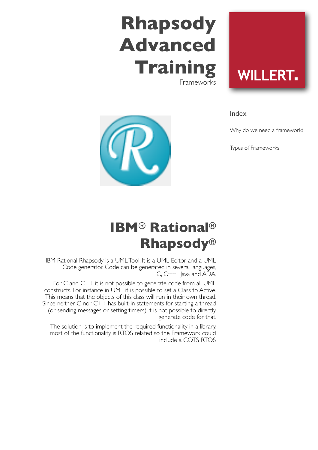# **Rhapsody Advanced Training** Frameworks

**WILLERT.** 

Index

Why do we need a framework?

Types of Frameworks



## **IBM**® **Rational**® **Rhapsody**®

IBM Rational Rhapsody is a UML Tool. It is a UML Editor and a UML Code generator. Code can be generated in several languages, C, C++, Java and ADA.

For C and C++ it is not possible to generate code from all UML constructs. For instance in UML it is possible to set a Class to Active. This means that the objects of this class will run in their own thread. Since neither C nor  $C++$  has built-in statements for starting a thread (or sending messages or setting timers) it is not possible to directly generate code for that.

The solution is to implement the required functionality in a library, most of the functionality is RTOS related so the Framework could include a COTS RTOS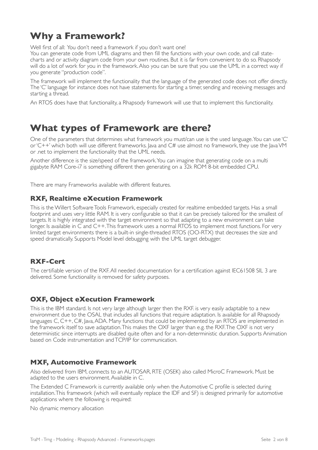## **Why a Framework?**

Well first of all: You don't need a framework if you don't want one!

You can generate code from UML diagrams and then fill the functions with your own code, and call statecharts and or activity diagram code from your own routines. But it is far from convenient to do so. Rhapsody will do a lot of work for you in the framework. Also you can be sure that you use the UML in a correct way if you generate "production code".

The framework will implement the functionality that the language of the generated code does not offer directly. The 'C' language for instance does not have statements for starting a timer, sending and receiving messages and starting a thread.

An RTOS does have that functionality, a Rhapsody framework will use that to implement this functionality.

### **What types of Framework are there?**

One of the parameters that determines what framework you must/can use is the used language. You can use 'C' or 'C++' which both will use different frameworks. Java and C# use almost no framework, they use the Java VM or .net to implement the functionality that the UML needs.

Another difference is the size/speed of the framework. You can imagine that generating code on a multi gigabyte RAM Core-i7 is something different then generating on a 32k ROM 8-bit embedded CPU.

There are many Frameworks available with different features.

#### **RXF, Realtime eXecution Framework**

This is the Willert Software Tools Framework, especially created for realtime embedded targets. Has a small footprint and uses very little RAM. It is very configurable so that it can be precisely tailored for the smallest of targets. It is highly integrated with the target environment so that adapting to a new environment can take longer. Is available in C and C++. This framework uses a normal RTOS to implement most functions. For very limited target environments there is a built-in single-threaded RTOS (OO-RTX) that decreases the size and speed dramatically. Supports Model level debugging with the UML target debugger.

#### **RXF-Cert**

The certifiable version of the RXF. All needed documentation for a certification against IEC61508 SIL 3 are delivered. Some functionality is removed for safety purposes.

#### **OXF, Object eXecution Framework**

This is the IBM standard. Is not very large although larger then the RXF. is very easily adaptable to a new environment due to the OSAL that includes all functions that require adaptation. Is available for all Rhapsody languages C, C++, C#, Java, ADA. Many functions that could be implemented by an RTOS are implemented in the framework itself to save adaptation. This makes the OXF larger than e.g. the RXF. The OXF is not very deterministic since interrupts are disabled quite often and for a non-deterministic duration. Supports Animation based on Code instrumentation and TCP/IP for communication.

#### **MXF, Automotive Framework**

Also delivered from IBM, connects to an AUTOSAR, RTE (OSEK) also called MicroC Framework. Must be adapted to the users environment. Available in C.

The Extended C Framework is currently available only when the Automotive C profile is selected during installation. This framework (which will eventually replace the IDF and SF) is designed primarily for automotive applications where the following is required:

No dynamic memory allocation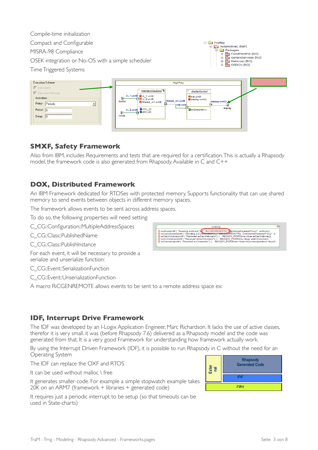| Compile-time initialization                                                                                                                    |                                                                                                                                                                                                                                                |                                                                                                            |  |
|------------------------------------------------------------------------------------------------------------------------------------------------|------------------------------------------------------------------------------------------------------------------------------------------------------------------------------------------------------------------------------------------------|------------------------------------------------------------------------------------------------------------|--|
| Compact and Configurable                                                                                                                       | <b>E</b> Profiles<br>白 R <sub>3</sub> AutomotiveC (REF)                                                                                                                                                                                        |                                                                                                            |  |
| MISRA-98 Compliance                                                                                                                            | <b>Packages</b><br>FixedPointPck (RO)                                                                                                                                                                                                          |                                                                                                            |  |
| GenericServices (RO)<br>$\overline{+}$<br>OSEK integration or No-OS with a simple scheduler<br>MainLoop (RO)<br>庙<br>OSEK21 (RO)               |                                                                                                                                                                                                                                                |                                                                                                            |  |
| Time Triggered Systems                                                                                                                         |                                                                                                                                                                                                                                                |                                                                                                            |  |
| <b>Execution Scheme</b>                                                                                                                        | HighFreq                                                                                                                                                                                                                                       |                                                                                                            |  |
| $\nabla$ Executable<br>$\nabla$ Execution Manager<br>- Activation-<br>Policy: Periodic<br>$\blacksquare$<br>Period: $\sqrt{5}$<br>Delay: $ 0 $ | maintainInputMoc <sup>P</sup> a<br>in_1:uint8 图 in_1:uint8<br>$\mathbb{R}$<br>$\overline{\textbf{H}}$ in 2:uint8<br>filtered_in1:uint8<br>button<br>filtered_in1:uint8<br>tick:uint8<br>in_2:uint8 <b>Mohln_10</b><br>A achin_20<br>Y.<br>mode | displayControl<br>tick:uint8<br>display:uint32<br>display:uint32<br>中 <sub>目doExecute():v</sub><br>display |  |

#### **SMXF, Safety Framework**

Also from IBM, includes Requirements and tests that are required for a certification. This is actually a Rhapsody model, the framework code is also generated from Rhapsody. Available in C and C++

#### **DOX, Distributed Framework**

An IBM Framework dedicated for RTOSes with protected memory. Supports functionality that can use shared memory to send events between objects in different memory spaces.

The framework allows events to be sent across address spaces.

To do so, the following properties will need setting:

C\_CG::Configuration::MultipleAddressSpaces

C\_CG::Class::PublishedName

C\_CG::Class::PublishInstance

For each event, it will be necessary to provide a serialize and unserialize function:

C\_CG::Event::SerializationFunction

C\_CG::Event::UnserializationFunction

A macro RiCGENREMOTE allows events to be sent to a remote address space ex:

#### **IDF, Interrupt Drive Framework**

The IDF was developed by an I-Logix Application Engineer, Marc Richardson. It lacks the use of active classes, therefor it is very small. it was (before Rhapsody 7.6) delivered as a Rhapsody model and the code was generated from that. It is a very good Framework for understanding how framework actually work.

By using the Interrupt Driven Framework (IDF), it is possible to run Rhapsody in C without the need for an Operating System

The IDF can replace the OXF and RTOS

It can be used without malloc \ free

It generates smaller code. For example a simple stopwatch example takes 20K on an ARM7 (framework + libraries + generated code)

It requires just a periodic interrupt to be setup (so that timeouts can be used in State-charts)



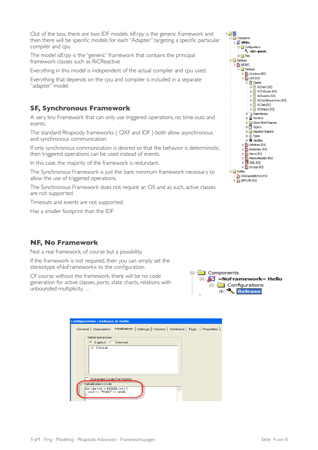Out of the box, there are two IDF models. Idf.rpy is the generic framework and then there will be specific models for each "Adapter" targeting a specific particular compiler and cpu

The model idf.rpy is the "generic" framework that contains the principal framework classes such as RiCReactive

Everything in this model is independent of the actual compiler and cpu used.

Everything that depends on the cpu and compiler is included in a separate "adapter" model

#### **SF, Synchronous Framework**

A very tiny Framework that can only use triggered operations, no time-outs and events.

The standard Rhapsody frameworks ( OXF and IDF ) both allow asynchronous and synchronous communication.

If only synchronous communication is desired so that the behavior is deterministic, then triggered operations can be used instead of events.

In this case, the majority of the framework is redundant.

The Synchronous Framework is just the bare minimum framework necessary to allow the use of triggered operations.

The Synchronous Framework does not require an OS and as such, active classes are not supported.

Timeouts and events are not supported.

Has a smaller footprint than the IDF

#### **NF, No Framework**

Not a real framework, of course but a possibility.

If the framework is not required, then you can simply set the stereotype «NoFramework» to the configuration.

Of course without the framework, there will be no code generation for active classes, ports, state charts, relations with unbounded multiplicity, …



| <b>Configuration: Release in Hello</b>                                                                         |
|----------------------------------------------------------------------------------------------------------------|
| General Description Initialization<br>Settings   Checks   Relations   Tags   Properties                        |
| Initial instances:                                                                                             |
| Explicit C Derived                                                                                             |
| ⊞- Default                                                                                                     |
| Generate Code For Actors<br>Initialization code<br>for ( int i=0; i<10000; i++ ) {<br>cout << "Hello" << endl: |

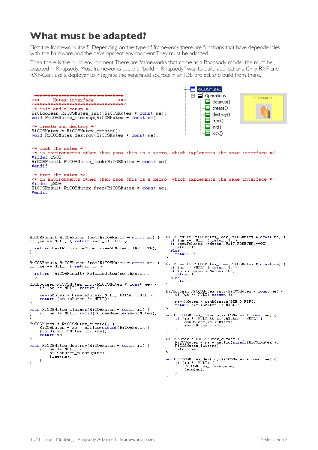## **What must be adapted?**

First the framework itself. Depending on the type of framework there are functions that have dependencies with the hardware and the development environment. They must be adapted.

Then there is the build environment. There are frameworks that come as a Rhapsody model, the must be adapted in Rhapsody. Most frameworks use the "build in Rhapsody" way to build applications. Only RXF and RXF-Cert use a deployer to integrate the generated sources in an IDE project and build from there.

```
E- RICOSMutex
                                                                                                         \overline{\Box} \overline{\Box} Operations
  /**********************************
                                                                                                                                                 RiCOSMutex
 7 + 1Mutex interface
                                                         -36.36\equiv cleanup()
 /***********************************
                                                                                                                  \Xi create()
  /* init and cleanup */
 RiCBoolean RiCOSMutex_init(RiCOSMutex * const me);
                                                                                                                  日
                                                                                                                       destroy()
 void RiCOSMutex_cleanup(RiCOSMutex * const me);
                                                                                                                  \equiv free()
   * create and destroy *⊟
                                                                                                                       \mathsf{init}()RiCOSMutex * RiCOSMutex_create();
                                                                                                                  ⊟
                                                                                                                       lock()void RiCOSMutex_destroy(RiCOSMutex * const me);
 \times lock the mutex */
  \frac{1}{2} in environments other than psos this is a macro, which implements the same interface */
  #ifdef pSOS
 RiCOSResult RiCOSMutex lock(RiCOSMutex * const me);
  #endif
  /* free the mutex */
  \frac{1}{2} in environments other than psos this is a macro, which implements the same interface */
  #ifdef pSOS
 RiCOSResult RiCOSMutex_free(RiCOSMutex * const me);
  #endif
RiCOSResult RiCOSMutex_lock(RiCOSMutex * const me) { RiCOSResult RiCOSMutex_lock(RiCOSMutex * const me) { \text{RiCOSNutes\_lock(RiCOSNutes\_lock} + \text{const} \neq 0) { \text{retur } 0} { \text{return } 0} { \text{return } 0} { \text{return } 0} { \text{return } 0} { \text{return } 0} { 
                                                                                               return 1;return WaitForSingleObject(me->hMutex, INFINITE);
                                                                                           else<br>return 0;
\mathbf{u}D.
RiCOSResult RiCOSMutex_free(RiCOSMutex * const me) {<br>if (me == NULL) { return 0; }
                                                                                        RiCOSResult RiCOSMutex free(RiCOSMutex * const me) {<br>
if (me == NULL) { return 0; }<br>
if (semGive(me->hMutex)==OK)<br>
return 1;<br>
else<br>
return 0;
   return (RiCOSResult) ReleaseMutex(me->hMutex);
RiCBoolean RiCOSMutex_init(RiCOSMutex * const me) {<br>if (me == NULL) return 0;
                                                                                         \mathcal{P}RiCBoolean RiCOSMutex init(RiCOSMutex * const me) {<br>if (me == NULL) return 0;
      \begin{minipage}[c]{0.9\linewidth} \texttt{me->hMutes} = \texttt{CreateMutes( NULL, FALSE, NULL)}; \\ \texttt{return (me->hMutes != NULL)}; \end{minipage}me->hMutex = semMCreate(SEM_Q_FIFO);<br>return (me->hMutex != NULL);
ŋ,
void RiCOSMutex_cleanup(RiCOSMutex * const me) {<br>if (me != NULL) (void) CloseHandle(me->hMutex);
                                                                                         P,
                                                                                        void RiCOSMutex_cleanup(RiCOSMutex * const me) {<br>if (me != NULL && me->hMutex !=NULL) {<br>semDelete(me->hMutex);<br>me->hMutex = NULL;
Ą,
RiCOSMutex * RiCOSMutex_create() {<br>RiCOSMutex * me = malloc(sizeof(RiCOSMutex));<br>(void) RiCOSMutex_init(me);<br>return me;
                                                                                              -3
                                                                                         D.
                                                                                         RiCOSMutex * RiCOSMutex_create() {<br>RiCOSMutex * me = malloc(sizeof(RiCOSMutex));<br>RiCOSMutex_init(me);
-3
void RiCOSMutex_destroy(RiCOSMutex * const me) {<br>if (me != NULL) {<br>RiCOSMutex_cleanup(me);
                                                                                               return me;
                                                                                         <sup>1</sup>
             free(ne):
                                                                                        void RiCOSMutex_destroy(RiCOSMutex * const me) {<br>if (me != NULL) {<br>RiCOSMutex_cleanup(me);
       \overline{1}D,
```
 $free(ne)$ :

Ą,  $\,$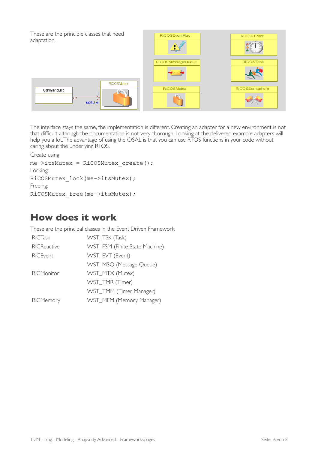

The interface stays the same, the implementation is different. Creating an adapter for a new environment is not that difficult although the documentation is not very thorough. Looking at the delivered example adapters will help you a lot. The advantage of using the OSAL is that you can use RTOS functions in your code without caring about the underlying RTOS.

Create using

```
me->itsMutex = RiCOSMutex_create(); 
Locking:
RiCOSMutex_lock(me->itsMutex); 
Freeing:
RiCOSMutex_free(me->itsMutex);
```
## **How does it work**

These are the principal classes in the Event Driven Framework:

| WST_TSK (Task)                 |
|--------------------------------|
| WST_FSM (Finite State Machine) |
| WST_EVT (Event)                |
| WST_MSQ (Message Queue)        |
| WST_MTX (Mutex)                |
| WST_TMR (Timer)                |
| WST_TMM (Timer Manager)        |
| WST_MEM (Memory Manager)       |
|                                |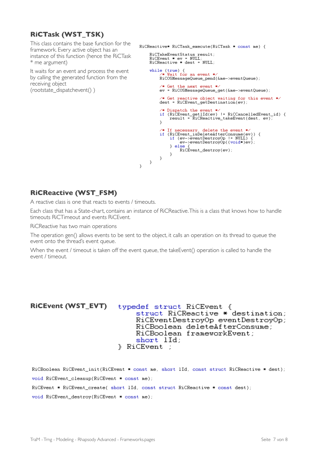#### **RiCTask (WST\_TSK)**

This class contains the base function for the framework. Every active object has an instance of this function (hence the RiCTask \* me argument)

It waits for an event and process the event by calling the generated function from the receiving object (rootstate\_dispatchevent() )

```
RiCReactive* RiCTask execute(RiCTask * const me) {
       RiCTakeEventStatus result:
       RicEvent * ev = NULL;<br>RicEvent * ev = NULL;<br>RicReactive * dest = NULL;
       while (true) {<br>\angle* Wait for an event */
               RiCOSMessageQueue_pend(&me->eventQueue);
               /* Get the next event */<br>ev = RiCOSMessageQueue_get(&me->eventQueue);
               \frac{1}{1} Get reactive object waiting for this event */<br>dest = RiCEvent_getDestination(ev);
               /* Dispatch the event */<br>if (RiCEvent_getlId(ev) != RiCCancelledEvent_id) {<br>result = RiCReactive_takeEvent(dest, ev);
               \chi/* If necessary, delete the event */<br>if (RiCEvent_isDeleteAfterConsume(ev)) {<br>if (ev->eventDestroyOp != NULL) {<br>ev->eventDestroyOp((void*)ev);
                       \} else
                              RiCEvent_destroy(ev);
                       \mathbf{R}\mathcal{F}\mathcal Y\mathcal{V}
```
#### **RiCReactive (WST\_FSM)**

A reactive class is one that reacts to events / timeouts.

Each class that has a State-chart, contains an instance of RiCReactive. This is a class that knows how to handle timeouts RiCTimeout and events RiCEvent.

RiCReactive has two main operations

The operation gen() allows events to be sent to the object, it calls an operation on its thread to queue the event onto the thread's event queue.

When the event / timeout is taken off the event queue, the takeEvent() operation is called to handle the event / timeout.

#### **RiCEvent (WST\_EVT)** typedef struct RiCEvent { struct RiCReactive \* destination; RiCEventDestroyOp eventDestroyOp; RiCBoolean deleteAfterConsume; RiCBoolean frameworkEvent; short lId; } RiCEvent :

RiCBoolean RiCEvent\_init(RiCEvent \* const me, short 1Id, const struct RiCReactive \* dest); void RiCEvent cleanup(RiCEvent \* const me); RiCEvent \* RiCEvent\_create( short 1Id, const struct RiCReactive \* const dest); void RiCEvent\_destroy(RiCEvent \* const me);